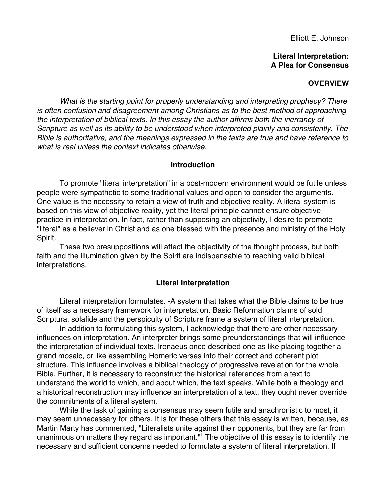Elliott E. Johnson

# **Literal Interpretation: A Plea for Consensus**

### **OVERVIEW**

What is the starting point for properly understanding and interpreting prophecy? There is often confusion and disagreement among Christians as to the best method of approaching the interpretation of biblical texts. In this essay the author affirms both the inerrancy of Scripture as well as its ability to be understood when interpreted plainly and consistently. The Bible is authoritative, and the meanings expressed in the texts are true and have reference to what is real unless the context indicates otherwise

#### **Introduction**

To promote "literal interpretation" in a post-modern environment would be futile unless people were sympathetic to some traditional values and open to consider the arguments. One value is the necessity to retain a view of truth and objective reality. A literal system is based on this view of objective reality, yet the literal principle cannot ensure objective practice in interpretation. In fact, rather than supposing an objectivity, I desire to promote "literal" as a believer in Christ and as one blessed with the presence and ministry of the Holy Spirit.

These two presuppositions will affect the objectivity of the thought process, but both faith and the illumination given by the Spirit are indispensable to reaching valid biblical interpretations.

#### **Literal Interpretation**

Literal interpretation formulates. -A system that takes what the Bible claims to be true of itself as a necessary framework for interpretation. Basic Reformation claims of sold Scriptura, solafide and the perspicuity of Scripture frame a system of literal interpretation.

In addition to formulating this system, I acknowledge that there are other necessary influences on interpretation. An interpreter brings some preunderstandings that will influence the interpretation of individual texts. Irenaeus once described one as like placing together a grand mosaic, or like assembling Homeric verses into their correct and coherent plot structure. This influence involves a biblical theology of progressive revelation for the whole Bible. Further, it is necessary to reconstruct the historical references from a text to understand the world to which, and about which, the text speaks. While both a theology and a historical reconstruction may influence an interpretation of a text, they ought never override the commitments of a literal system.

While the task of gaining a consensus may seem futile and anachronistic to most, it may seem unnecessary for others. It is for these others that this essay is written, because, as Martin Marty has commented, "Literalists unite against their opponents, but they are far from unanimous on matters they regard as important."1 The objective of this essay is to identify the necessary and sufficient concerns needed to formulate a system of literal interpretation. If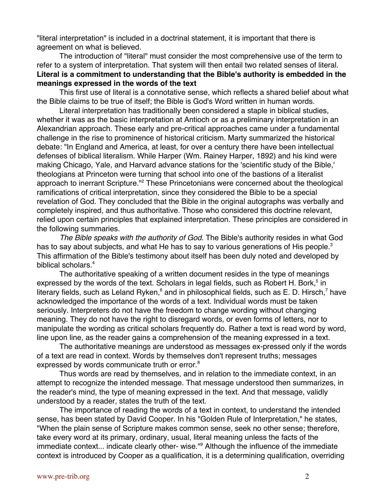"literal interpretation" is included in a doctrinal statement, it is important that there is agreement on what is believed.

The introduction of "literal" must consider the most comprehensive use of the term to refer to a system of interpretation. That system will then entail two related senses of literal. **Literal is a commitment to understanding that the Bible's authority is embedded in the meanings expressed in the words of the text**

This first use of literal is a connotative sense, which reflects a shared belief about what the Bible claims to be true of itself; the Bible is God's Word written in human words.

Literal interpretation has traditionally been considered a staple in biblical studies, whether it was as the basic interpretation at Antioch or as a preliminary interpretation in an Alexandrian approach. These early and pre-critical approaches came under a fundamental challenge in the rise to prominence of historical criticism. Marty summarized the historical debate: "In England and America, at least, for over a century there have been intellectual defenses of biblical literalism. While Harper (Wm. Rainey Harper, 1892) and his kind were making Chicago, Yale, and Harvard advance stations for the 'scientific study of the Bible,' theologians at Princeton were turning that school into one of the bastions of a literalist approach to inerrant Scripture."<sup>2</sup> These Princetonians were concerned about the theological ramifications of critical interpretation, since they considered the Bible to be a special revelation of God. They concluded that the Bible in the original autographs was verbally and completely inspired, and thus authoritative. Those who considered this doctrine relevant, relied upon certain principles that explained interpretation. These principles are considered in the following summaries.

The Bible speaks with the authority of God. The Bible's authority resides in what God has to say about subjects, and what He has to say to various generations of His people.<sup>3</sup> This affirmation of the Bible's testimony about itself has been duly noted and developed by biblical scholars.<sup>4</sup>

The authoritative speaking of a written document resides in the type of meanings expressed by the words of the text. Scholars in legal fields, such as Robert H. Bork,<sup>5</sup> in literary fields, such as Leland Ryken, $^6$  and in philosophical fields, such as E. D. Hirsch, $^7$  have acknowledged the importance of the words of a text. Individual words must be taken seriously. Interpreters do not have the freedom to change wording without changing meaning. They do not have the right to disregard words, or even forms of letters, nor to manipulate the wording as critical scholars frequently do. Rather a text is read word by word, line upon line, as the reader gains a comprehension of the meaning expressed in a text.

The authoritative meanings are understood as messages ex-pressed only if the words of a text are read in context. Words by themselves don't represent truths; messages expressed by words communicate truth or error.<sup>8</sup>

Thus words are read by themselves, and in relation to the immediate context, in an attempt to recognize the intended message. That message understood then summarizes, in the reader's mind, the type of meaning expressed in the text. And that message, validly understood by a reader, states the truth of the text.

The importance of reading the words of a text in context, to understand the intended sense, has been stated by David Cooper. In his "Golden Rule of Interpretation," he states, "When the plain sense of Scripture makes common sense, seek no other sense; therefore, take every word at its primary, ordinary, usual, literal meaning unless the facts of the immediate context... indicate clearly other- wise."<sup>9</sup> Although the influence of the immediate context is introduced by Cooper as a qualification, it is a determining qualification, overriding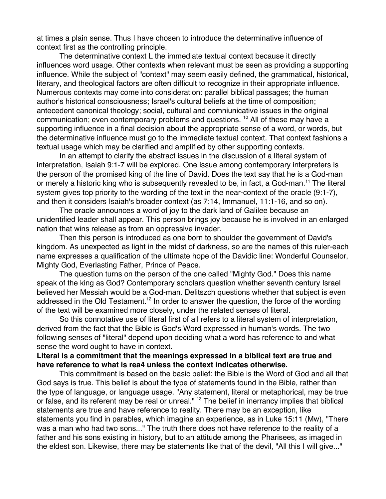at times a plain sense. Thus I have chosen to introduce the determinative influence of context first as the controlling principle.

The determinative context L the immediate textual context because it directly influences word usage. Other contexts when relevant must be seen as providing a supporting influence. While the subject of "context" may seem easily defined, the grammatical, historical, literary, and theological factors are often difficult to recognize in their appropriate influence. Numerous contexts may come into consideration: parallel biblical passages; the human author's historical consciousness; Israel's cultural beliefs at the time of composition; antecedent canonical theology; social, cultural and comniunicative issues in the original communication; even contemporary problems and questions. <sup>10</sup> All of these may have a supporting influence in a final decision about the appropriate sense of a word, or words, but the determinative influence must go to the immediate textual context. That context fashions a textual usage which may be clarified and amplified by other supporting contexts.

In an attempt to clarify the abstract issues in the discussion of a literal system of interpretation, Isaiah 9:1-7 will be explored. One issue among contemporary interpreters is the person of the promised king of the line of David. Does the text say that he is a God-man or merely a historic king who is subsequently revealed to be, in fact, a God-man.<sup>11</sup> The literal system gives top priority to the wording of the text in the near-context of the oracle (9:1-7), and then it considers Isaiah's broader context (as 7:14, Immanuel, 11:1-16, and so on).

The oracle announces a word of joy to the dark land of Galilee because an unidentified leader shall appear. This person brings joy because he is involved in an enlarged nation that wins release as from an oppressive invader.

Then this person is introduced as one born to shoulder the government of David's kingdom. As unexpected as light in the midst of darkness, so are the names of this ruler-each name expresses a qualification of the ultimate hope of the Davidic line: Wonderful Counselor, Mighty God, Everlasting Father, Prince of Peace.

The question turns on the person of the one called "Mighty God." Does this name speak of the king as God? Contemporary scholars question whether seventh century Israel believed her Messiah would be a God-man. Delitszch questions whether that subject is even addressed in the Old Testament.<sup>12</sup> In order to answer the question, the force of the wording of the text will be examined more closely, under the related senses of literal.

So this connotative use of literal first of all refers to a literal system of interpretation, derived from the fact that the Bible is God's Word expressed in human's words. The two following senses of "literal" depend upon deciding what a word has reference to and what sense the word ought to have in context.

## **Literal is a commitment that the meanings expressed in a biblical text are true and have reference to what is rea4 unless the context indicates otherwise.**

This commitment is based on the basic belief: the Bible is the Word of God and all that God says is true. This belief is about the type of statements found in the Bible, rather than the type of language, or language usage. "Any statement, literal or metaphorical, may be true or false, and its referent may be real or unreal." <sup>13</sup> The belief in inerrancy implies that biblical statements are true and have reference to reality. There may be an exception, like statements you find in parables, which imagine an experience, as in Luke 15:11 (Mw), "There was a man who had two sons..." The truth there does not have reference to the reality of a father and his sons existing in history, but to an attitude among the Pharisees, as imaged in the eldest son. Likewise, there may be statements like that of the devil, "All this I will give..."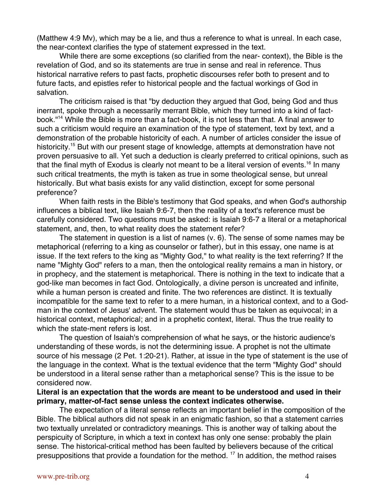(Matthew 4:9 Mv), which may be a lie, and thus a reference to what is unreal. In each case, the near-context clarifies the type of statement expressed in the text.

While there are some exceptions (so clarified from the near- context), the Bible is the revelation of God, and so its statements are true in sense and real in reference. Thus historical narrative refers to past facts, prophetic discourses refer both to present and to future facts, and epistles refer to historical people and the factual workings of God in salvation.

The criticism raised is that "by deduction they argued that God, being God and thus inerrant, spoke through a necessarily merrant Bible, which they turned into a kind of factbook."14 While the Bible is more than a fact-book, it is not less than that. A final answer to such a criticism would require an examination of the type of statement, text by text, and a demonstration of the probable historicity of each. A number of articles consider the issue of historicity.<sup>15</sup> But with our present stage of knowledge, attempts at demonstration have not proven persuasive to all. Yet such a deduction is clearly preferred to critical opinions, such as that the final myth of Exodus is clearly not meant to be a literal version of events.<sup>16</sup> In many such critical treatments, the myth is taken as true in some theological sense, but unreal historically. But what basis exists for any valid distinction, except for some personal preference?

When faith rests in the Bible's testimony that God speaks, and when God's authorship influences a biblical text, like Isaiah 9:6-7, then the reality of a text's reference must be carefully considered. Two questions must be asked: is Isaiah 9:6-7 a literal or a metaphorical statement, and, then, to what reality does the statement refer?

The statement in question is a list of names (v. 6). The sense of some names may be metaphorical (referring to a king as counselor or father), but in this essay, one name is at issue. If the text refers to the king as "Mighty God," to what reality is the text referring? If the name "Mighty God" refers to a man, then the ontological reality remains a man in history, or in prophecy, and the statement is metaphorical. There is nothing in the text to indicate that a god-like man becomes in fact God. Ontologically, a divine person is uncreated and infinite, while a human person is created and finite. The two references are distinct. It is textually incompatible for the same text to refer to a mere human, in a historical context, and to a Godman in the context of Jesus' advent. The statement would thus be taken as equivocal; in a historical context, metaphorical; and in a prophetic context, literal. Thus the true reality to which the state-ment refers is lost.

The question of Isaiah's comprehension of what he says, or the historic audience's understanding of these words, is not the determining issue. A prophet is not the ultimate source of his message (2 Pet. 1:20-21). Rather, at issue in the type of statement is the use of the language in the context. What is the textual evidence that the term "Mighty God" should be understood in a literal sense rather than a metaphorical sense? This is the issue to be considered now.

## **Literal is an expectation that the words are meant to be understood and used in their primary, matter-of-fact sense unless the context indicates otherwise.**

The expectation of a literal sense reflects an important belief in the composition of the Bible. The biblical authors did not speak in an enigmatic fashion, so that a statement carries two textually unrelated or contradictory meanings. This is another way of talking about the perspicuity of Scripture, in which a text in context has only one sense: probably the plain sense. The historical-critical method has been faulted by believers because of the critical presuppositions that provide a foundation for the method. <sup>17</sup> In addition, the method raises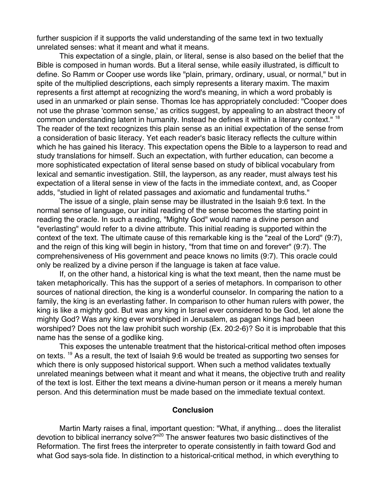further suspicion if it supports the valid understanding of the same text in two textually unrelated senses: what it meant and what it means.

This expectation of a single, plain, or literal, sense is also based on the belief that the Bible is composed in human words. But a literal sense, while easily illustrated, is difficult to define. So Ramm or Cooper use words like "plain, primary, ordinary, usual, or normal," but in spite of the multiplied descriptions, each simply represents a literary maxim. The maxim represents a first attempt at recognizing the word's meaning, in which a word probably is used in an unmarked or plain sense. Thomas Ice has appropriately concluded: "Cooper does not use the phrase 'common sense,' as critics suggest, by appealing to an abstract theory of common understanding latent in humanity. Instead he defines it within a literary context." 18 The reader of the text recognizes this plain sense as an initial expectation of the sense from a consideration of basic literacy. Yet each reader's basic literacy reflects the culture within which he has gained his literacy. This expectation opens the Bible to a layperson to read and study translations for himself. Such an expectation, with further education, can become a more sophisticated expectation of literal sense based on study of biblical vocabulary from lexical and semantic investigation. Still, the layperson, as any reader, must always test his expectation of a literal sense in view of the facts in the immediate context, and, as Cooper adds, "studied in light of related passages and axiomatic and fundamental truths."

The issue of a single, plain sense may be illustrated in the Isaiah 9:6 text. In the normal sense of language, our initial reading of the sense becomes the starting point in reading the oracle. In such a reading, "Mighty God" would name a divine person and "everlasting" would refer to a divine attribute. This initial reading is supported within the context of the text. The ultimate cause of this remarkable king is the "zeal of the Lord" (9:7), and the reign of this king will begin in history, "from that time on and forever" (9:7). The comprehensiveness of His government and peace knows no limits (9:7). This oracle could only be realized by a divine person if the language is taken at face value.

If, on the other hand, a historical king is what the text meant, then the name must be taken metaphorically. This has the support of a series of metaphors. In comparison to other sources of national direction, the king is a wonderful counselor. In comparing the nation to a family, the king is an everlasting father. In comparison to other human rulers with power, the king is like a mighty god. But was any king in Israel ever considered to be God, let alone the mighty God? Was any king ever worshiped in Jerusalem, as pagan kings had been worshiped? Does not the law prohibit such worship (Ex. 20:2-6)? So it is improbable that this name has the sense of a godlike king.

This exposes the untenable treatment that the historical-critical method often imposes on texts. <sup>19</sup> As a result, the text of Isaiah 9:6 would be treated as supporting two senses for which there is only supposed historical support. When such a method validates textually unrelated meanings between what it meant and what it means, the objective truth and reality of the text is lost. Either the text means a divine-human person or it means a merely human person. And this determination must be made based on the immediate textual context.

### **Conclusion**

Martin Marty raises a final, important question: "What, if anything... does the literalist devotion to biblical inerrancy solve?"<sup>20</sup> The answer features two basic distinctives of the Reformation. The first frees the interpreter to operate consistently in faith toward God and what God says-sola fide. In distinction to a historical-critical method, in which everything to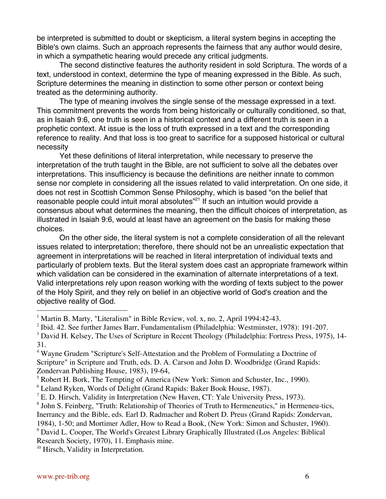be interpreted is submitted to doubt or skepticism, a literal system begins in accepting the Bible's own claims. Such an approach represents the fairness that any author would desire, in which a sympathetic hearing would precede any critical judgments.

The second distinctive features the authority resident in sold Scriptura. The words of a text, understood in context, determine the type of meaning expressed in the Bible. As such, Scripture determines the meaning in distinction to some other person or context being treated as the determining authority.

The type of meaning involves the single sense of the message expressed in a text. This commitment prevents the words from being historically or culturally conditioned, so that, as in Isaiah 9:6, one truth is seen in a historical context and a different truth is seen in a prophetic context. At issue is the loss of truth expressed in a text and the corresponding reference to reality. And that loss is too great to sacrifice for a supposed historical or cultural necessity

Yet these definitions of literal interpretation, while necessary to preserve the interpretation of the truth taught in the Bible, are not sufficient to solve all the debates over interpretations. This insufficiency is because the definitions are neither innate to common sense nor complete in considering all the issues related to valid interpretation. On one side, it does not rest in Scottish Common Sense Philosophy, which is based "on the belief that reasonable people could intuit moral absolutes"<sup>21</sup> If such an intuition would provide a consensus about what determines the meaning, then the difficult choices of interpretation, as illustrated in Isaiah 9:6, would at least have an agreement on the basis for making these choices.

On the other side, the literal system is not a complete consideration of all the relevant issues related to interpretation; therefore, there should not be an unrealistic expectation that agreement in interpretations will be reached in literal interpretation of individual texts and particularly of problem texts. But the literal system does cast an appropriate framework within which validation can be considered in the examination of alternate interpretations of a text. Valid interpretations rely upon reason working with the wording of texts subject to the power of the Holy Spirit, and they rely on belief in an objective world of God's creation and the objective reality of God.

 $\frac{1}{1}$ <sup>1</sup> Martin B. Marty, "Literalism" in Bible Review, vol. x, no. 2, April 1994:42-43.

<sup>&</sup>lt;sup>2</sup> Ibid. 42. See further James Barr, Fundamentalism (Philadelphia: Westminster, 1978): 191-207.

<sup>&</sup>lt;sup>3</sup> David H. Kelsey, The Uses of Scripture in Recent Theology (Philadelphia: Fortress Press, 1975), 14-31.

<sup>&</sup>lt;sup>4</sup> Wayne Grudem "Scripture's Self-Attestation and the Problem of Formulating a Doctrine of Scripture" in Scripture and Truth, eds. D. A. Carson and John D. Woodbridge (Grand Rapids: Zondervan Publishing House, 1983), 19-64,

<sup>&</sup>lt;sup>5</sup> Robert H. Bork, The Tempting of America (New York: Simon and Schuster, Inc., 1990).

<sup>6</sup> Leland Ryken, Words of Delight (Grand Rapids: Baker Book House, 1987).

<sup>&</sup>lt;sup>7</sup> E. D. Hirsch, Validity in Interpretation (New Haven, CT: Yale University Press, 1973).

<sup>&</sup>lt;sup>8</sup> John S. Feinberg, "Truth: Relationship of Theories of Truth to Hermeneutics," in Hermeneu-tics, Inerrancy and the Bible, eds. Earl D. Radmacher and Robert D. Preus (Grand Rapids: Zondervan, 1984), 1-50; and Mortimer Adler, How to Read a Book, (New York: Simon and Schuster, 1960). <sup>9</sup> David L. Cooper, The World's Greatest Library Graphically Illustrated (Los Angeles: Biblical Research Society, 1970), 11. Emphasis mine.

<sup>&</sup>lt;sup>10</sup> Hirsch, Validity in Interpretation.